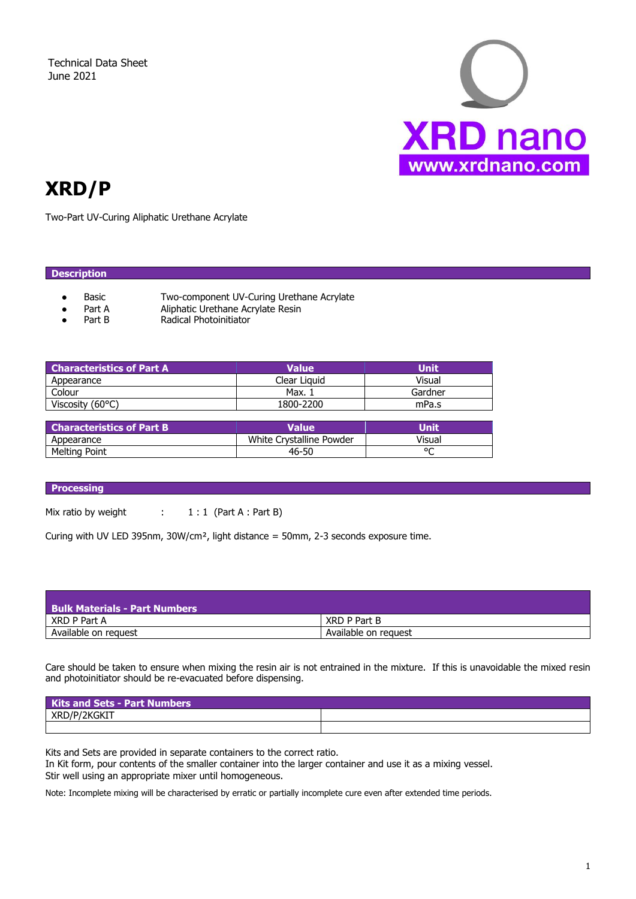Technical Data Sheet June 2021



# **XRD/P**

Two-Part UV-Curing Aliphatic Urethane Acrylate

# **Description**

- Basic Two-component UV-Curing Urethane Acrylate
	- Part A Aliphatic Urethane Acrylate Resin
- Part B Radical Photoinitiator

| <b>Characteristics of Part A</b> | Value        | Unit    |
|----------------------------------|--------------|---------|
| Appearance                       | Clear Liguid | Visual  |
| Colour                           | Max. .       | Gardner |
| Viscosity $(60^{\circ}C)$        | 1800-2200    | mPa.s   |

| $\,$ Characteristics of Part B $^{\dagger}$ | Value'                   | Unit   |
|---------------------------------------------|--------------------------|--------|
| Appearance                                  | White Crystalline Powder | Visual |
| <b>Melting Point</b>                        | 46-50                    | ٥σ     |

# **Processing**

Mix ratio by weight  $1:1$  (Part A : Part B)

Curing with UV LED 395nm, 30W/cm², light distance = 50mm, 2-3 seconds exposure time.

| <b>Bulk Materials - Part Numbers</b> |                      |
|--------------------------------------|----------------------|
| XRD P Part A                         | XRD P Part B         |
| Available on request                 | Available on request |

Care should be taken to ensure when mixing the resin air is not entrained in the mixture. If this is unavoidable the mixed resin and photoinitiator should be re-evacuated before dispensing.

| <b>Kits and Sets - Part Numbers</b> |  |  |
|-------------------------------------|--|--|
| ZKGKI I<br>⋀K                       |  |  |
|                                     |  |  |

Kits and Sets are provided in separate containers to the correct ratio.

In Kit form, pour contents of the smaller container into the larger container and use it as a mixing vessel. Stir well using an appropriate mixer until homogeneous.

Note: Incomplete mixing will be characterised by erratic or partially incomplete cure even after extended time periods.